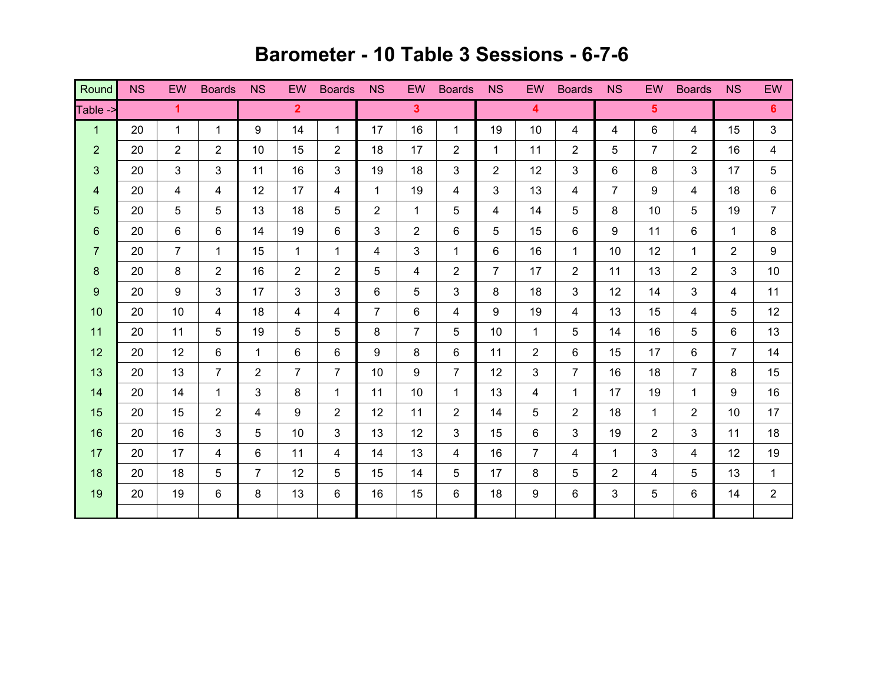## **Barometer - 10 Table 3 Sessions - 6-7-6**

| Round                   | <b>NS</b> | EW                   | <b>Boards</b>  | <b>NS</b>      | EW             | <b>Boards</b>  | <b>NS</b>      | EW             | <b>Boards</b>  | <b>NS</b>      | EW                      | <b>Boards</b>  | <b>NS</b>      | <b>EW</b>      | <b>Boards</b>  | <b>NS</b>      | EW             |
|-------------------------|-----------|----------------------|----------------|----------------|----------------|----------------|----------------|----------------|----------------|----------------|-------------------------|----------------|----------------|----------------|----------------|----------------|----------------|
| Table ->                |           | $\blacktriangleleft$ |                |                | 2 <sup>1</sup> |                |                | 3 <sup>5</sup> |                |                | $\overline{\mathbf{4}}$ |                |                | 5 <sup>5</sup> |                |                | 6 <sup>1</sup> |
| $\mathbf{1}$            | 20        | $\mathbf{1}$         | $\mathbf{1}$   | 9              | 14             | $\mathbf 1$    | 17             | 16             | $\mathbf{1}$   | 19             | 10                      | 4              | 4              | 6              | 4              | 15             | 3              |
| $\overline{2}$          | 20        | $\overline{2}$       | 2              | 10             | 15             | $\overline{2}$ | 18             | 17             | $\overline{2}$ | 1              | 11                      | $\overline{2}$ | 5              | $\overline{7}$ | $\overline{2}$ | 16             | 4              |
| $\mathbf{3}$            | 20        | $\mathbf{3}$         | 3              | 11             | 16             | 3              | 19             | 18             | 3              | $\overline{2}$ | 12                      | 3              | 6              | 8              | 3              | 17             | 5              |
| $\overline{\mathbf{4}}$ | 20        | 4                    | 4              | 12             | 17             | 4              | $\mathbf{1}$   | 19             | 4              | 3              | 13                      | 4              | $\overline{7}$ | 9              | 4              | 18             | 6              |
| 5                       | 20        | 5                    | 5              | 13             | 18             | 5              | $\overline{2}$ | 1              | 5              | 4              | 14                      | 5              | 8              | 10             | 5              | 19             | $\overline{7}$ |
| 6                       | 20        | 6                    | $6\phantom{1}$ | 14             | 19             | 6              | 3              | $\overline{2}$ | 6              | 5              | 15                      | 6              | 9              | 11             | 6              | 1              | 8              |
| $\overline{7}$          | 20        | $\overline{7}$       | $\mathbf{1}$   | 15             | $\mathbf{1}$   | $\mathbf{1}$   | 4              | 3              | $\mathbf{1}$   | 6              | 16                      | $\mathbf{1}$   | 10             | 12             | $\mathbf{1}$   | $\overline{2}$ | 9              |
| $\bf 8$                 | 20        | 8                    | $\overline{2}$ | 16             | $\overline{2}$ | $\overline{2}$ | 5              | 4              | $\overline{2}$ | $\overline{7}$ | 17                      | $\overline{2}$ | 11             | 13             | $\overline{2}$ | 3              | 10             |
| $\boldsymbol{9}$        | 20        | 9                    | 3              | 17             | 3              | 3              | 6              | 5              | 3              | 8              | 18                      | 3              | 12             | 14             | 3              | 4              | 11             |
| 10                      | 20        | 10                   | $\overline{4}$ | 18             | 4              | 4              | $\overline{7}$ | 6              | 4              | 9              | 19                      | 4              | 13             | 15             | 4              | 5              | 12             |
| 11                      | 20        | 11                   | 5              | 19             | 5              | 5              | 8              | $\overline{7}$ | 5              | 10             | $\mathbf{1}$            | 5              | 14             | 16             | 5              | 6              | 13             |
| 12                      | 20        | 12                   | $6\phantom{1}$ | $\mathbf 1$    | 6              | 6              | 9              | 8              | 6              | 11             | $\overline{2}$          | 6              | 15             | 17             | 6              | $\overline{7}$ | 14             |
| 13                      | 20        | 13                   | $\overline{7}$ | $\overline{2}$ | $\overline{7}$ | $\overline{7}$ | 10             | 9              | $\overline{7}$ | 12             | 3                       | $\overline{7}$ | 16             | 18             | $\overline{7}$ | 8              | 15             |
| 14                      | 20        | 14                   | $\mathbf{1}$   | 3              | 8              | 1              | 11             | 10             | 1              | 13             | 4                       | 1              | 17             | 19             | 1              | 9              | 16             |
| 15                      | 20        | 15                   | 2              | 4              | 9              | $\overline{2}$ | 12             | 11             | $\overline{2}$ | 14             | 5                       | $\overline{2}$ | 18             | $\mathbf{1}$   | $\overline{2}$ | 10             | 17             |
| 16                      | 20        | 16                   | $\mathbf{3}$   | 5              | 10             | 3              | 13             | 12             | 3              | 15             | 6                       | 3              | 19             | $\overline{2}$ | 3              | 11             | 18             |
| 17                      | 20        | 17                   | $\overline{4}$ | 6              | 11             | 4              | 14             | 13             | 4              | 16             | $\overline{7}$          | 4              | $\mathbf{1}$   | 3              | 4              | 12             | 19             |
| 18                      | 20        | 18                   | 5              | $\overline{7}$ | 12             | 5              | 15             | 14             | 5              | 17             | 8                       | 5              | $\overline{2}$ | 4              | 5              | 13             | $\mathbf{1}$   |
| 19                      | 20        | 19                   | 6              | 8              | 13             | 6              | 16             | 15             | 6              | 18             | 9                       | 6              | 3              | 5              | 6              | 14             | $\overline{2}$ |
|                         |           |                      |                |                |                |                |                |                |                |                |                         |                |                |                |                |                |                |